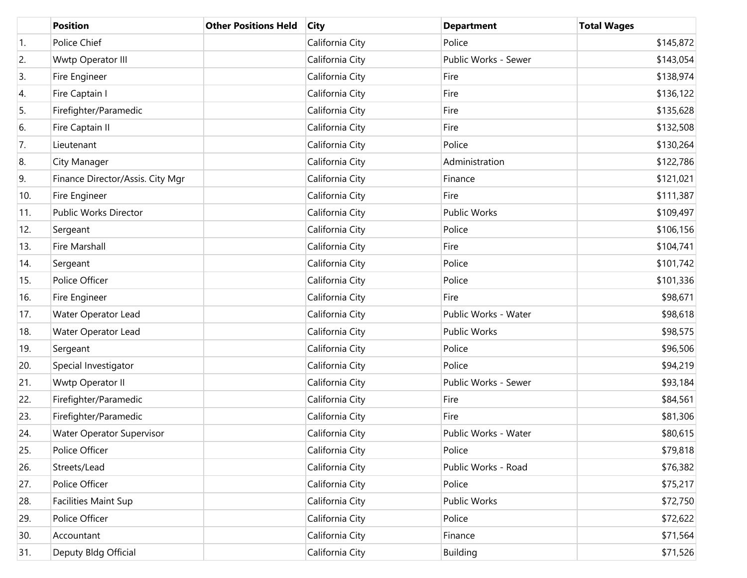|     | <b>Position</b>                  | <b>Other Positions Held</b> | <b>City</b>     | <b>Department</b>    | <b>Total Wages</b> |
|-----|----------------------------------|-----------------------------|-----------------|----------------------|--------------------|
| 1.  | Police Chief                     |                             | California City | Police               | \$145,872          |
| 2.  | Wwtp Operator III                |                             | California City | Public Works - Sewer | \$143,054          |
| 3.  | Fire Engineer                    |                             | California City | Fire                 | \$138,974          |
| 4.  | Fire Captain I                   |                             | California City | Fire                 | \$136,122          |
| 5.  | Firefighter/Paramedic            |                             | California City | Fire                 | \$135,628          |
| 6.  | Fire Captain II                  |                             | California City | Fire                 | \$132,508          |
| 7.  | Lieutenant                       |                             | California City | Police               | \$130,264          |
| 8.  | City Manager                     |                             | California City | Administration       | \$122,786          |
| 9.  | Finance Director/Assis. City Mgr |                             | California City | Finance              | \$121,021          |
| 10. | Fire Engineer                    |                             | California City | Fire                 | \$111,387          |
| 11. | Public Works Director            |                             | California City | Public Works         | \$109,497          |
| 12. | Sergeant                         |                             | California City | Police               | \$106,156          |
| 13. | Fire Marshall                    |                             | California City | Fire                 | \$104,741          |
| 14. | Sergeant                         |                             | California City | Police               | \$101,742          |
| 15. | Police Officer                   |                             | California City | Police               | \$101,336          |
| 16. | Fire Engineer                    |                             | California City | Fire                 | \$98,671           |
| 17. | Water Operator Lead              |                             | California City | Public Works - Water | \$98,618           |
| 18. | Water Operator Lead              |                             | California City | Public Works         | \$98,575           |
| 19. | Sergeant                         |                             | California City | Police               | \$96,506           |
| 20. | Special Investigator             |                             | California City | Police               | \$94,219           |
| 21. | Wwtp Operator II                 |                             | California City | Public Works - Sewer | \$93,184           |
| 22. | Firefighter/Paramedic            |                             | California City | Fire                 | \$84,561           |
| 23. | Firefighter/Paramedic            |                             | California City | Fire                 | \$81,306           |
| 24. | <b>Water Operator Supervisor</b> |                             | California City | Public Works - Water | \$80,615           |
| 25. | Police Officer                   |                             | California City | Police               | \$79,818           |
| 26. | Streets/Lead                     |                             | California City | Public Works - Road  | \$76,382           |
| 27. | Police Officer                   |                             | California City | Police               | \$75,217           |
| 28. | Facilities Maint Sup             |                             | California City | Public Works         | \$72,750           |
| 29. | Police Officer                   |                             | California City | Police               | \$72,622           |
| 30. | Accountant                       |                             | California City | Finance              | \$71,564           |
| 31. | Deputy Bldg Official             |                             | California City | <b>Building</b>      | \$71,526           |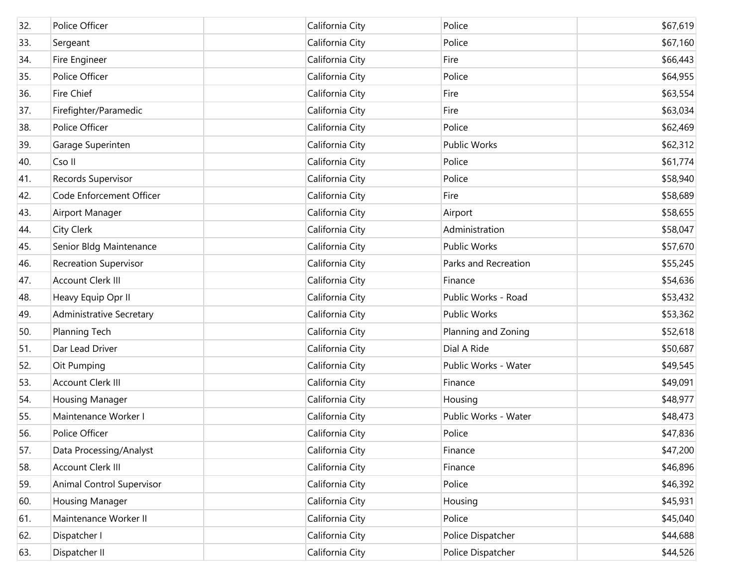| 32. | Police Officer                  | California City | Police               | \$67,619 |
|-----|---------------------------------|-----------------|----------------------|----------|
| 33. | Sergeant                        | California City | Police               | \$67,160 |
| 34. | Fire Engineer                   | California City | Fire                 | \$66,443 |
| 35. | Police Officer                  | California City | Police               | \$64,955 |
| 36. | <b>Fire Chief</b>               | California City | Fire                 | \$63,554 |
| 37. | Firefighter/Paramedic           | California City | Fire                 | \$63,034 |
| 38. | Police Officer                  | California City | Police               | \$62,469 |
| 39. | Garage Superinten               | California City | Public Works         | \$62,312 |
| 40. | Cso II                          | California City | Police               | \$61,774 |
| 41. | Records Supervisor              | California City | Police               | \$58,940 |
| 42. | Code Enforcement Officer        | California City | Fire                 | \$58,689 |
| 43. | Airport Manager                 | California City | Airport              | \$58,655 |
| 44. | City Clerk                      | California City | Administration       | \$58,047 |
| 45. | Senior Bldg Maintenance         | California City | Public Works         | \$57,670 |
| 46. | <b>Recreation Supervisor</b>    | California City | Parks and Recreation | \$55,245 |
| 47. | Account Clerk III               | California City | Finance              | \$54,636 |
| 48. | Heavy Equip Opr II              | California City | Public Works - Road  | \$53,432 |
| 49. | <b>Administrative Secretary</b> | California City | Public Works         | \$53,362 |
| 50. | Planning Tech                   | California City | Planning and Zoning  | \$52,618 |
| 51. | Dar Lead Driver                 | California City | Dial A Ride          | \$50,687 |
| 52. | Oit Pumping                     | California City | Public Works - Water | \$49,545 |
| 53. | Account Clerk III               | California City | Finance              | \$49,091 |
| 54. | <b>Housing Manager</b>          | California City | Housing              | \$48,977 |
| 55. | Maintenance Worker I            | California City | Public Works - Water | \$48,473 |
| 56. | Police Officer                  | California City | Police               | \$47,836 |
| 57. | Data Processing/Analyst         | California City | Finance              | \$47,200 |
| 58. | <b>Account Clerk III</b>        | California City | Finance              | \$46,896 |
| 59. | Animal Control Supervisor       | California City | Police               | \$46,392 |
| 60. | <b>Housing Manager</b>          | California City | Housing              | \$45,931 |
| 61. | Maintenance Worker II           | California City | Police               | \$45,040 |
| 62. | Dispatcher I                    | California City | Police Dispatcher    | \$44,688 |
| 63. | Dispatcher II                   | California City | Police Dispatcher    | \$44,526 |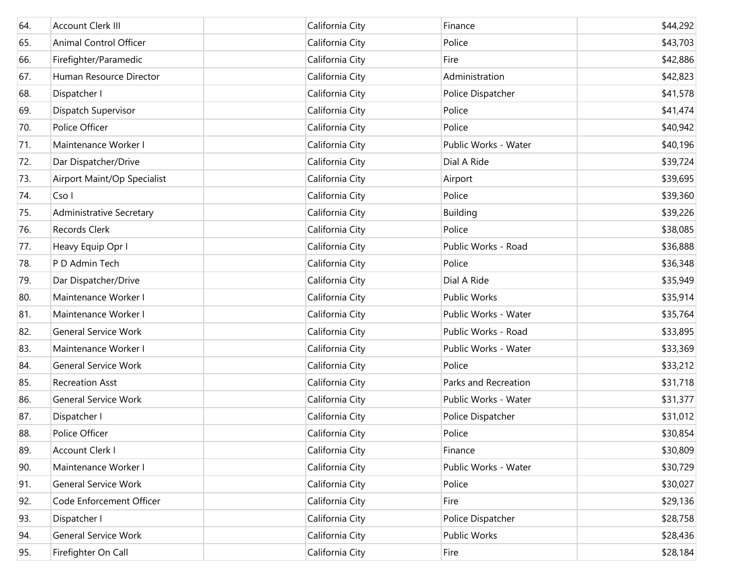| 64. | <b>Account Clerk III</b>        | California City | Finance              | \$44,292 |
|-----|---------------------------------|-----------------|----------------------|----------|
| 65. | Animal Control Officer          | California City | Police               | \$43,703 |
| 66. | Firefighter/Paramedic           | California City | Fire                 | \$42,886 |
| 67. | Human Resource Director         | California City | Administration       | \$42,823 |
| 68. | Dispatcher I                    | California City | Police Dispatcher    | \$41,578 |
| 69. | Dispatch Supervisor             | California City | Police               | \$41,474 |
| 70. | Police Officer                  | California City | Police               | \$40,942 |
| 71. | Maintenance Worker I            | California City | Public Works - Water | \$40,196 |
| 72. | Dar Dispatcher/Drive            | California City | Dial A Ride          | \$39,724 |
| 73. | Airport Maint/Op Specialist     | California City | Airport              | \$39,695 |
| 74. | Cso I                           | California City | Police               | \$39,360 |
| 75. | <b>Administrative Secretary</b> | California City | <b>Building</b>      | \$39,226 |
| 76. | Records Clerk                   | California City | Police               | \$38,085 |
| 77. | Heavy Equip Opr I               | California City | Public Works - Road  | \$36,888 |
| 78. | P D Admin Tech                  | California City | Police               | \$36,348 |
| 79. | Dar Dispatcher/Drive            | California City | Dial A Ride          | \$35,949 |
| 80. | Maintenance Worker I            | California City | Public Works         | \$35,914 |
| 81. | Maintenance Worker I            | California City | Public Works - Water | \$35,764 |
| 82. | <b>General Service Work</b>     | California City | Public Works - Road  | \$33,895 |
| 83. | Maintenance Worker I            | California City | Public Works - Water | \$33,369 |
| 84. | <b>General Service Work</b>     | California City | Police               | \$33,212 |
| 85. | <b>Recreation Asst</b>          | California City | Parks and Recreation | \$31,718 |
| 86. | <b>General Service Work</b>     | California City | Public Works - Water | \$31,377 |
| 87. | Dispatcher I                    | California City | Police Dispatcher    | \$31,012 |
| 88. | Police Officer                  | California City | Police               | \$30,854 |
| 89. | Account Clerk I                 | California City | Finance              | \$30,809 |
| 90. | Maintenance Worker I            | California City | Public Works - Water | \$30,729 |
| 91. | <b>General Service Work</b>     | California City | Police               | \$30,027 |
| 92. | Code Enforcement Officer        | California City | Fire                 | \$29,136 |
| 93. | Dispatcher I                    | California City | Police Dispatcher    | \$28,758 |
| 94. | <b>General Service Work</b>     | California City | <b>Public Works</b>  | \$28,436 |
| 95. | Firefighter On Call             | California City | Fire                 | \$28,184 |